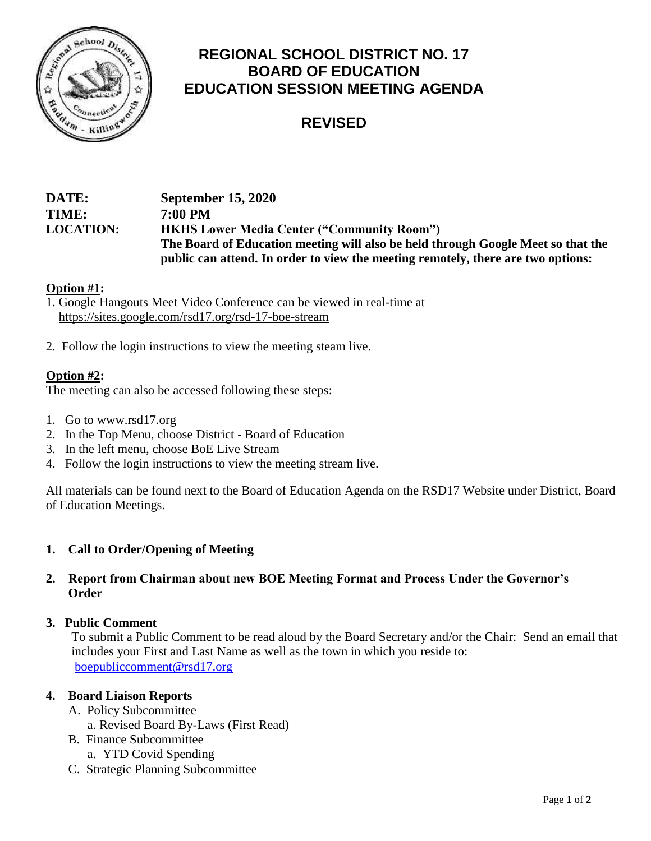

# **REGIONAL SCHOOL DISTRICT NO. 17 BOARD OF EDUCATION EDUCATION SESSION MEETING AGENDA**

# **REVISED**

## **DATE: September 15, 2020 TIME: 7:00 PM LOCATION: HKHS Lower Media Center ("Community Room") The Board of Education meeting will also be held through Google Meet so that the public can attend. In order to view the meeting remotely, there are two options:**

### **Option #1:**

- 1. Google Hangouts Meet Video Conference can be viewed in real-time at <https://sites.google.com/rsd17.org/rsd-17-boe-stream>
- 2. Follow the login instructions to view the meeting steam live.

### **Option #2:**

The meeting can also be accessed following these steps:

- 1. Go to [www.rsd17.org](http://www.rsd17.org/)
- 2. In the Top Menu, choose District Board of Education
- 3. In the left menu, choose BoE Live Stream
- 4. Follow the login instructions to view the meeting stream live.

All materials can be found next to the Board of Education Agenda on the RSD17 Website under District, Board of Education Meetings.

### **1. Call to Order/Opening of Meeting**

### **2. Report from Chairman about new BOE Meeting Format and Process Under the Governor's Order**

#### **3. Public Comment**

 To submit a Public Comment to be read aloud by the Board Secretary and/or the Chair: Send an email that includes your First and Last Name as well as the town in which you reside to: [boepubliccomment@rsd17.org](mailto:boepubliccomment@rsd17.org)

#### **4. Board Liaison Reports**

- A. Policy Subcommittee a. Revised Board By-Laws (First Read)
- B. Finance Subcommittee
	- a. YTD Covid Spending
- C. Strategic Planning Subcommittee